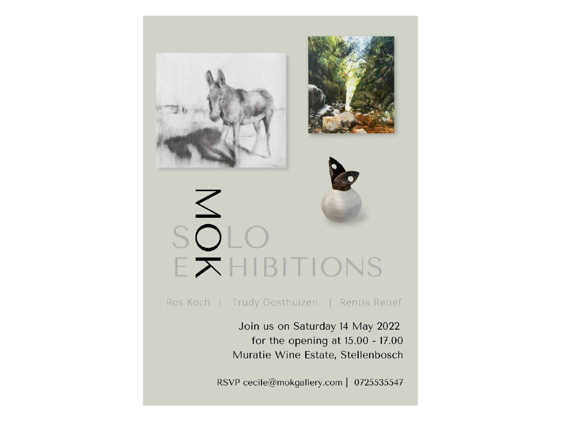



# $\begin{array}{c}\nZ \\
SOLO \\
E\times HIBITIONS\n\end{array}$

Ros Koch | Trudy Oosthuizen | Rentia Retief

Join us on Saturday 14 May 2022 for the opening at  $15.00 - 17.00$ Muratie Wine Estate, Stellenbosch

RSVP cecile@mokgallery.com | 0725535547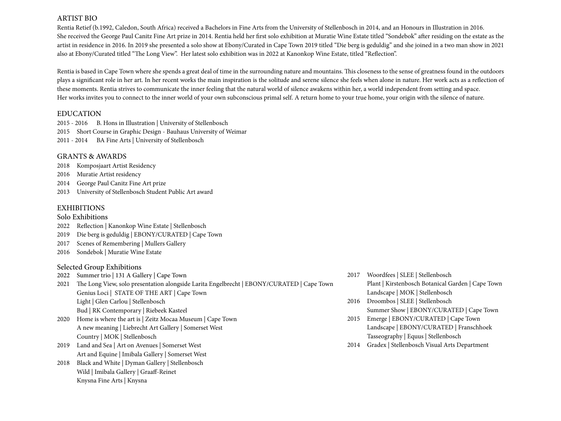## ARTIST BIO

Rentia Retief (b.1992, Caledon, South Africa) received a Bachelors in Fine Arts from the University of Stellenbosch in 2014, and an Honours in Illustration in 2016. She received the George Paul Canitz Fine Art prize in 2014. Rentia held her first solo exhibition at Muratie Wine Estate titled "Sondebok" after residing on the estate as the artist in residence in 2016. In 2019 she presented a solo show at Ebony/Curated in Cape Town 2019 titled "Die berg is geduldig" and she joined in a two man show in 2021 also at Ebony/Curated titled "The Long View". Her latest solo exhibition was in 2022 at Kanonkop Wine Estate, titled "Reflection".

Rentia is based in Cape Town where she spends a great deal of time in the surrounding nature and mountains. This closeness to the sense of greatness found in the outdoors plays a significant role in her art. In her recent works the main inspiration is the solitude and serene silence she feels when alone in nature. Her work acts as a reflection of these moments. Rentia strives to communicate the inner feeling that the natural world of silence awakens within her, a world independent from setting and space. Her works invites you to connect to the inner world of your own subconscious primal self. A return home to your true home, your origin with the silence of nature.

## EDUCATION

- 2015 2016 B. Hons in Illustration | University of Stellenbosch
- 2015 Short Course in Graphic Design Bauhaus University of Weimar
- 2011 2014 BA Fine Arts | University of Stellenbosch

## GRANTS & AWARDS

- 2018 Komposjaart Artist Residency
- 2016 Muratie Artist residency
- 2014 George Paul Canitz Fine Art prize
- 2013 University of Stellenbosch Student Public Art award

# EXHIBITIONS

## Solo Exhibitions

- 2022 Reflection | Kanonkop Wine Estate | Stellenbosch
- 2019 Die berg is geduldig | EBONY/CURATED | Cape Town
- 2017 Scenes of Remembering | Mullers Gallery
- 2016 Sondebok | Muratie Wine Estate

## Selected Group Exhibitions

- 2022 Summer trio | 131 A Gallery | Cape Town
- 2021 The Long View, solo presentation alongside Larita Engelbrecht | EBONY/CURATED | Cape Town Genius Loci | STATE OF THE ART | Cape Town Light | Glen Carlou | Stellenbosch Bud | RK Contemporary | Riebeek Kasteel
- 2020 Home is where the art is | Zeitz Mocaa Museum | Cape Town A new meaning | Liebrecht Art Gallery | Somerset West Country | MOK | Stellenbosch
- 2019 Land and Sea | Art on Avenues | Somerset West Art and Equine | Imibala Gallery | Somerset West
- 2018 Black and White | Dyman Gallery | Stellenbosch Wild | Imibala Gallery | Graaff-Reinet Knysna Fine Arts | Knysna
- 2017 Woordfees | SLEE | Stellenbosch Plant | Kirstenbosch Botanical Garden | Cape Town Landscape | MOK | Stellenbosch
- 2016 Droombos | SLEE | Stellenbosch Summer Show | EBONY/CURATED | Cape Town
- 2015 Emerge | EBONY/CURATED | Cape Town Landscape | EBONY/CURATED | Franschhoek Tasseography | Equus | Stellenbosch
- 2014 Gradex | Stellenbosch Visual Arts Department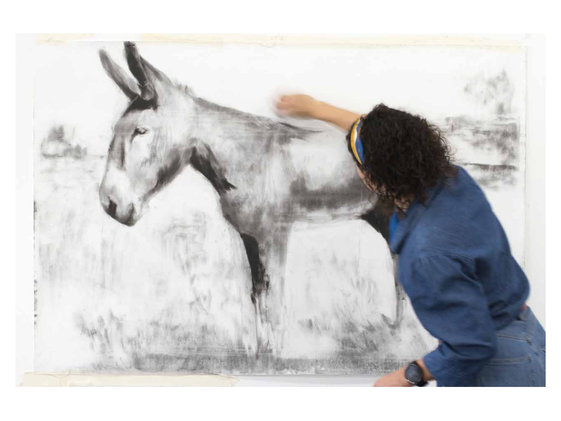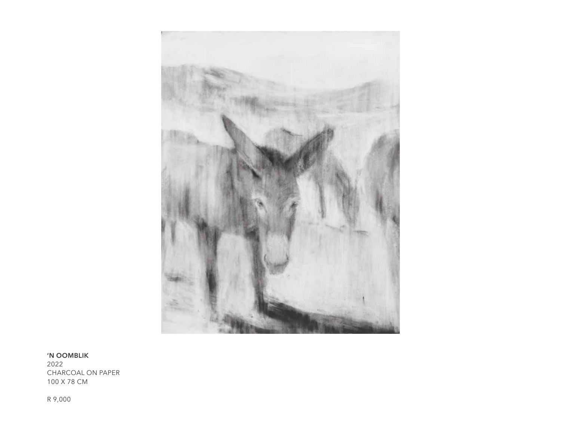

# 'N OOMBLIK

2022 CHARCOAL ON PAPER 100 X 78 CM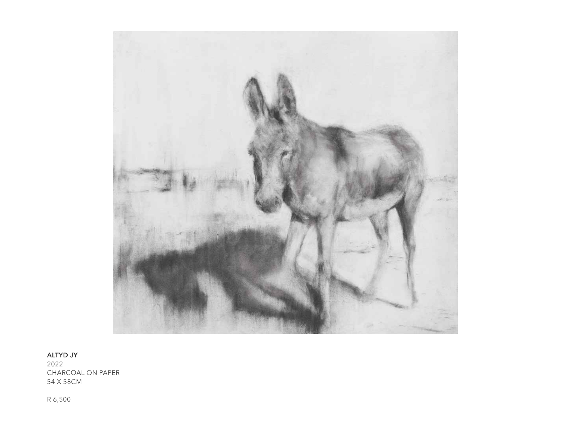

# ALTYD JY

2022 CHARCOAL ON PAPER 54 X 58CM

R 6,500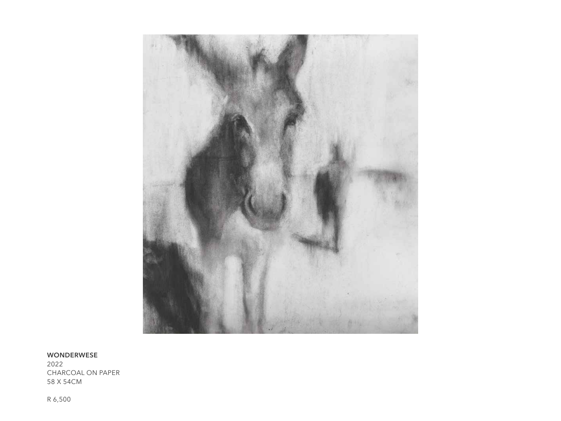

## **WONDERWESE**

2022 CHARCOAL ON PAPER 58 X 54CM

R 6,500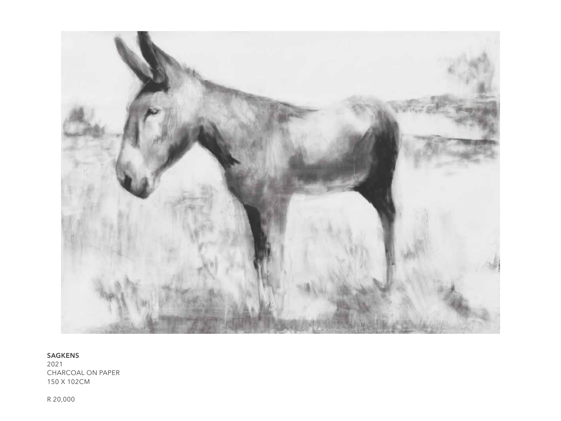

# **SAGKENS**

2021 CHARCOAL ON PAPER 150 X 102CM

R 20,000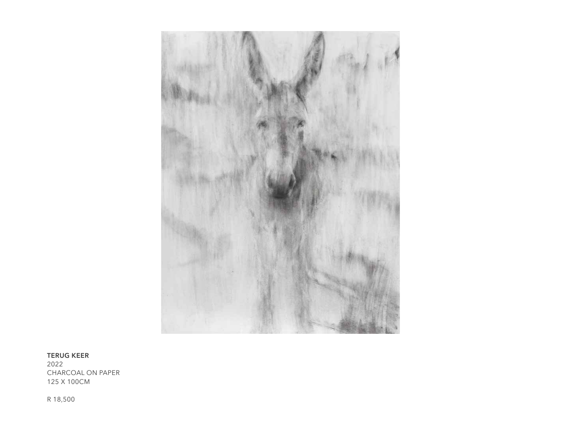

# **TERUG KEER**

2022 CHARCOAL ON PAPER 125 X 100CM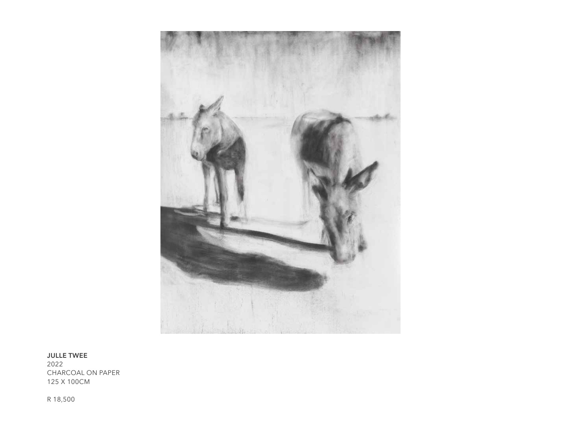

## **JULLE TWEE**

2022 CHARCOAL ON PAPER 125 X 100CM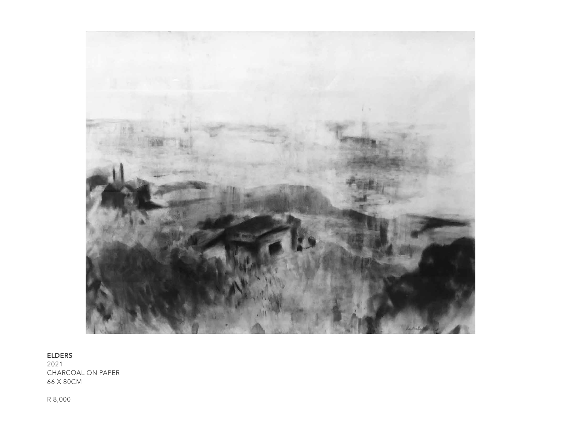

# **Elders**

2021 charcoal on paper 66 x 80cm

R 8,000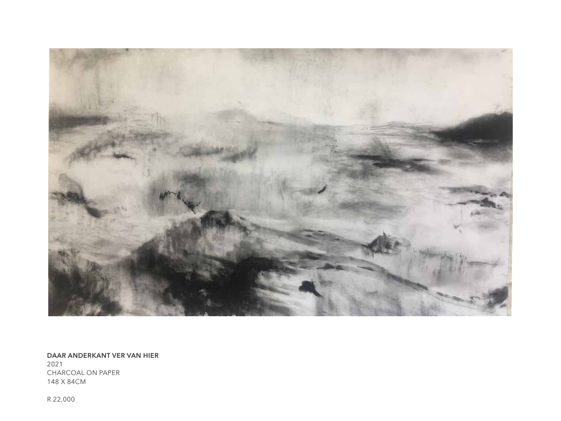

**daar anderkant ver van hier** 2021 Charcoal on paper 148 x 84cm

R 22,000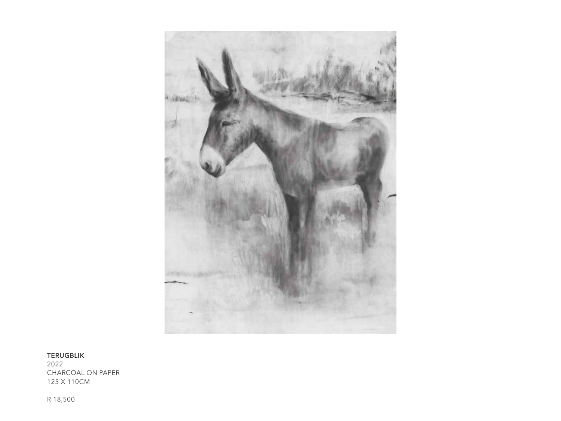

## **TERUGBLIK**

2022 CHARCOAL ON PAPER 125 X 110CM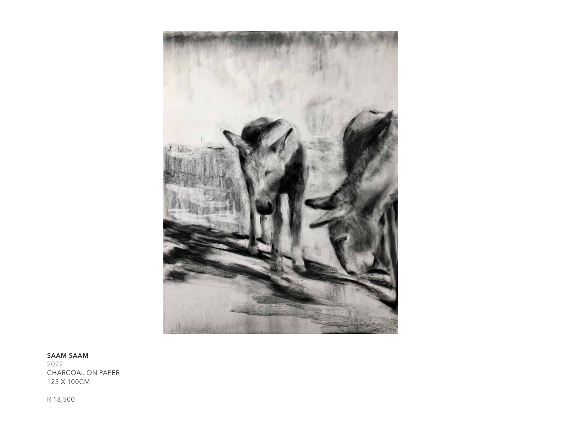

## **SAAM SAAM**

2022 CHARCOAL ON PAPER 125 X 100CM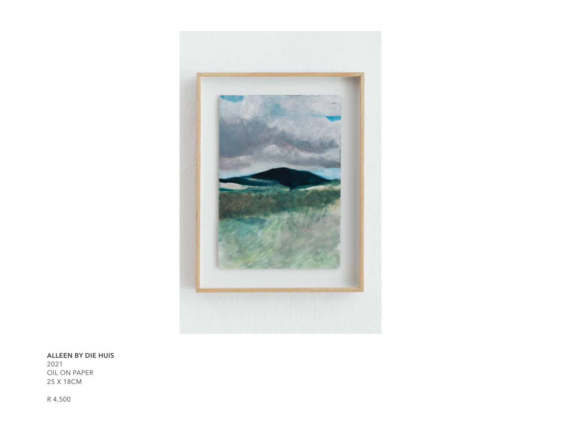

#### **Alleen by die huis**

2021 Oil on paper 25 x 18cm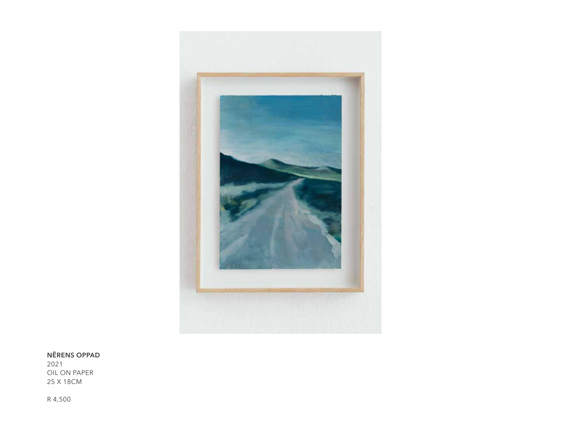

## **NÊRENS OPPAD**

2021 OIL ON PAPER 25 X 18CM

R 4,500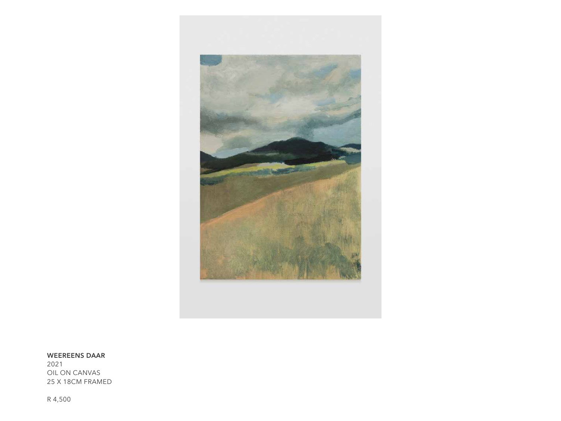

#### **WEEREENS DAAR**

2021 OIL ON CANVAS 25 X 18CM FRAMED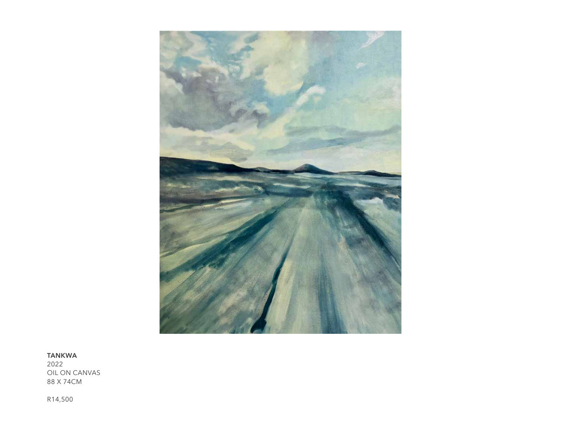

## **TANKWA**

2022 OIL ON CANVAS 88 X 74CM

R14,500